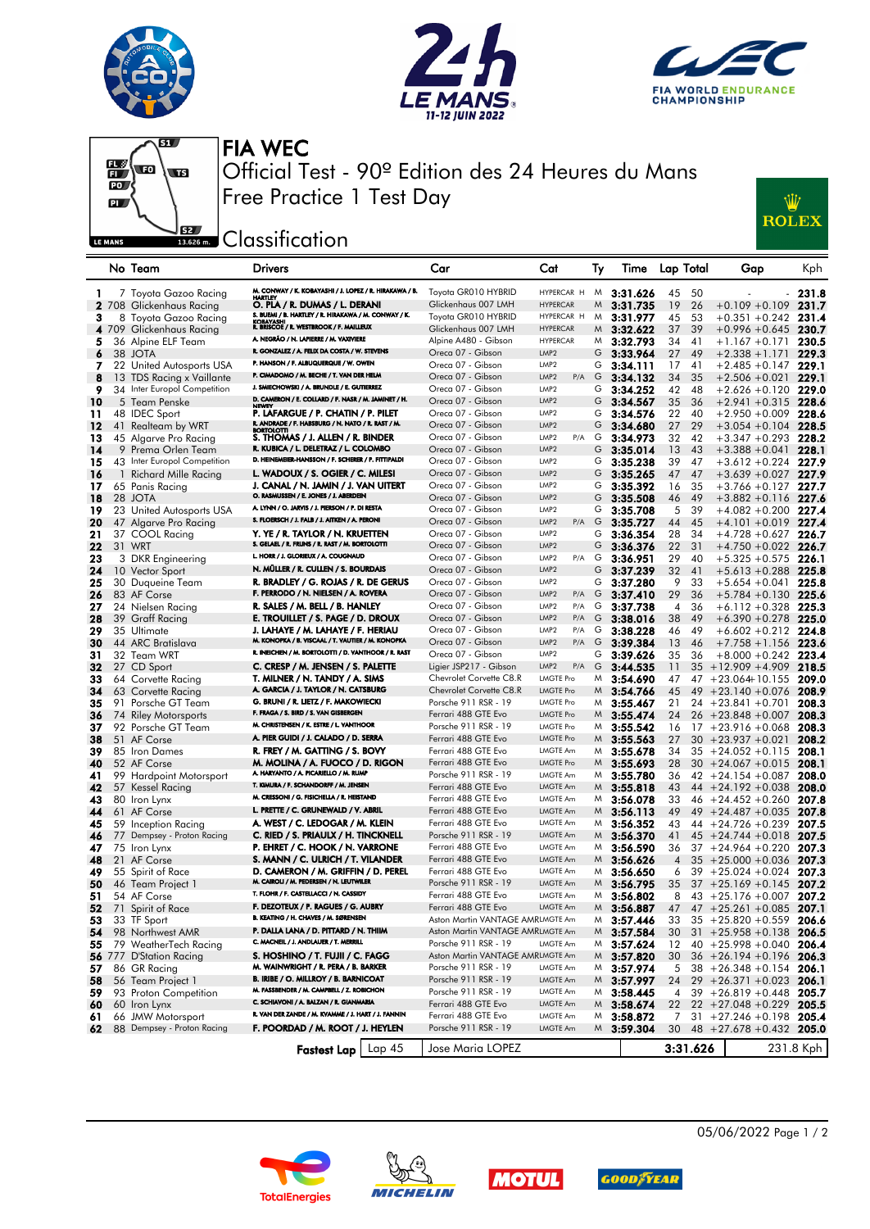







FIA WEC Official Test - 90º Edition des 24 Heures du Mans Free Practice 1 Test Day



**EREADER** Classification

|     |    | No Team                      | Drivers                                                                                 | Car                                       | Cat                           | Ту | lime            | Lap Total            | Gap                                | Kph            |
|-----|----|------------------------------|-----------------------------------------------------------------------------------------|-------------------------------------------|-------------------------------|----|-----------------|----------------------|------------------------------------|----------------|
| T.  |    | 7 Toyota Gazoo Racing        | M. CONWAY / K. KOBAYASHI / J. LOPEZ / R. HIRAKAWA / B.                                  | Toyota GR010 HYBRID                       | HYPERCAR H                    | M. | 3:31.626        | 45<br>50             | $\blacksquare$                     | 231.8          |
|     |    | 2 708 Glickenhaus Racing     | O. PLA / R. DUMAS / L. DERANI                                                           | Glickenhaus 007 LMH                       | <b>HYPERCAR</b>               | M  | 3:31.735        | 19<br>26             | $+0.109 + 0.109$ 231.7             |                |
|     |    |                              | S. BUEMI / B. HARTLEY / R. HIRAKAWA / M. CONWAY / K.                                    | Toyota GR010 HYBRID                       | HYPERCAR H                    | M  | 3:31.977        | 45<br>53             | $+0.351 + 0.242$ 231.4             |                |
| з   |    | 8 Toyota Gazoo Racing        | KOBAYASHI<br>R. BRISCOE / R. WESTBROOK / F. MAILLEUX                                    | Glickenhaus 007 LMH                       | <b>HYPERCAR</b>               |    |                 | 39                   |                                    |                |
|     |    | 4 709 Glickenhaus Racing     | A. NEGRÃO / N. LAPIERRE / M. VAXIVIERE                                                  |                                           | <b>HYPERCAR</b>               |    | $M$ 3:32.622    | 37<br>34             | $+0.996 + 0.645$ 230.7             |                |
| 5   |    | 36 Alpine ELF Team           | R. GONZALEZ / A. FELIX DA COSTA / W. STEVENS                                            | Alpine A480 - Gibson<br>Oreca 07 - Gibson | LMP <sub>2</sub>              | M  | 3:32.793        | 41                   | $+1.167 +0.171$                    | 230.5<br>229.3 |
| 6   |    | 38 JOTA                      | P. HANSON / F. ALBUQUERQUE / W. OWEN                                                    | Oreca 07 - Gibson                         | LMP <sub>2</sub>              | G  | 3:33.964        | 27<br>49             | $+2.338 + 1.171$                   |                |
| 7   |    | 22 United Autosports USA     | P. CIMADOMO / M. BECHE / T. VAN DER HELM                                                |                                           | LMP <sub>2</sub>              | G  | 3:34.111        | 17<br>41             | $+2.485 + 0.147$                   | 229.1          |
| 8   |    | 13 TDS Racing x Vaillante    | J. SMIECHOWSKI / A. BRUNDLE / E. GUTIERREZ                                              | Oreca 07 - Gibson                         | P/A                           | G  | 3:34.132        | 34<br>35             | $+2.506 + 0.021$                   | 229.1          |
| 9   |    | 34 Inter Europol Competition | D. CAMERON / E. COLLARD / F. NASR / M. JAMINET / H.                                     | Oreca 07 - Gibson                         | LMP <sub>2</sub>              | G  | 3:34.252        | 42<br>48             | $+2.626 + 0.120$ 229.0             |                |
| 10  |    | 5 Team Penske                | <b>NEWE</b>                                                                             | Oreca 07 - Gibson                         | LMP <sub>2</sub>              | G  | 3:34.567        | 35<br>36             | $+2.941 + 0.315$                   | 228.6          |
| 11  |    | 48 IDEC Sport                | P. LAFARGUE / P. CHATIN / P. PILET<br>R. ANDRADE / F. HABSBURG / N. NATO / R. RAST / M. | Oreca 07 - Gibson                         | LMP <sub>2</sub>              | G  | 3:34.576        | 22<br>40             | $+2.950 + 0.009$                   | 228.6          |
| 12  |    | 41 Realteam by WRT           | <b>BORTOLOTTI</b>                                                                       | Oreca 07 - Gibson                         | LMP <sub>2</sub>              | G  | 3:34.680        | 27<br>29             | $+3.054 + 0.104$ 228.5             |                |
| 13  |    | 45 Algarve Pro Racing        | S. THOMAS / J. ALLEN / R. BINDER<br>R. KUBICA / L. DELETRAZ / L. COLOMBO                | Oreca 07 - Gibson                         | LMP <sub>2</sub><br>P/A       | G  | 3:34.973        | 32<br>42             | $+3.347 +0.293$                    | 228.2          |
| 14  |    | 9 Prema Orlen Team           | D. HEINEMEIER-HANSSON / F. SCHERER / P. FITTIPALDI                                      | Oreca 07 - Gibson                         | LMP <sub>2</sub>              | G  | 3:35.014        | 13<br>43             | $+3.388 + 0.041$                   | 228.1          |
| 15  |    | 43 Inter Europol Competition |                                                                                         | Oreca 07 - Gibson                         | LMP <sub>2</sub>              | G  | 3:35.238        | 39<br>47             | $+3.612 + 0.224$                   | 227.9          |
| 16  | 1. | Richard Mille Racing         | L. WADOUX / S. OGIER / C. MILESI                                                        | Oreca 07 - Gibson                         | LMP <sub>2</sub>              | G  | 3:35.265        | 47<br>47             | $+3.639 + 0.027$                   | 227.9          |
| 17  |    | 65 Panis Racing              | J. CANAL / N. JAMIN / J. VAN UITERT<br>O. RASMUSSEN / E. JONES / J. ABERDEIN            | Oreca 07 - Gibson                         | LMP <sub>2</sub>              | G  | 3:35.392        | 35<br>16             | $+3.766 + 0.127$ 227.7             |                |
| 18  |    | 28 JOTA                      | A. LYNN / O. JARVIS / J. PIERSON / P. DI RESTA                                          | Oreca 07 - Gibson                         | LMP <sub>2</sub>              | G  | 3:35.508        | 49<br>46             | $+3.882 + 0.116$ 227.6             |                |
| 19  |    | 23 United Autosports USA     | S. FLOERSCH / J. FALB / J. AITKEN / A. PERONI                                           | Oreca 07 - Gibson                         | LMP <sub>2</sub>              | G  | 3:35.708        | 5<br>39              | $+4.082 +0.200$                    | 227.4          |
| 20  |    | 47 Algarve Pro Racing        |                                                                                         | Oreca 07 - Gibson                         | LMP <sub>2</sub><br>$P/A$ G   |    | 3:35.727        | 44<br>45             | $+4.101 + 0.019$ 227.4             |                |
| 21  |    | 37 COOL Racing               | Y. YE / R. TAYLOR / N. KRUETTEN<br>S. GELAEL / R. FRIJNS / R. RAST / M. BORTOLOTTI      | Oreca 07 - Gibson                         | LMP <sub>2</sub>              | G  | 3:36.354        | 28<br>34             | $+4.728 + 0.627$                   | 226.7          |
| 22  |    | 31 WRT                       |                                                                                         | Oreca 07 - Gibson                         | LMP <sub>2</sub>              | G  | 3:36.376        | 31<br>22             | $+4.750 + 0.022$ 226.7             |                |
| 23  |    | 3 DKR Engineering            | L. HORR / J. GLORIEUX / A. COUGNAUD                                                     | Oreca 07 - Gibson                         | LMP <sub>2</sub><br>P/A       | G  | 3:36.951        | 29<br>40             | $+5.325 + 0.575$                   | 226.1          |
| 24  |    | 10 Vector Sport              | N. MÜLLER / R. CULLEN / S. BOURDAIS                                                     | Oreca 07 - Gibson                         | LMP <sub>2</sub>              | G  | 3:37.239        | 32<br>41             | $+5.613 + 0.288$ 225.8             |                |
| 25  |    | 30 Duqueine Team             | R. BRADLEY / G. ROJAS / R. DE GERUS                                                     | Oreca 07 - Gibson                         | LMP <sub>2</sub>              | G  | 3:37.280        | 9<br>33              | $+5.654 + 0.041$ 225.8             |                |
| 26  |    | 83 AF Corse                  | F. PERRODO / N. NIELSEN / A. ROVERA                                                     | Oreca 07 - Gibson                         | LMP <sub>2</sub><br>P/A       | G  | 3:37.410        | 29<br>36             | $+5.784 + 0.130$                   | 225.6          |
| 27  |    | 24 Nielsen Racing            | R. SALES / M. BELL / B. HANLEY                                                          | Oreca 07 - Gibson                         | LMP <sub>2</sub><br>P/A       | G  | 3:37.738        | 36<br>$\overline{4}$ | $+6.112 + 0.328$ 225.3             |                |
| 28  |    | 39 Graff Racing              | E. TROUILLET / S. PAGE / D. DROUX                                                       | Oreca 07 - Gibson                         | LMP <sub>2</sub><br>P/A       | G  | 3:38.016        | 38<br>49             | $+6.390 + 0.278$ 225.0             |                |
| 29  |    | 35 Ultimate                  | J. LAHAYE / M. LAHAYE / F. HERIAU<br>M. KONOPKA / B. VISCAAL / T. VAUTIER / M. KONOPKA  | Oreca 07 - Gibson                         | LMP <sub>2</sub><br>P/A       | G  | 3:38.228        | 46<br>49             | $+6.602 + 0.212$ 224.8             |                |
| 30  |    | 44 ARC Bratislava            |                                                                                         | Oreca 07 - Gibson                         | LMP <sub>2</sub><br>$P/A$ $G$ |    | 3:39.384        | 13<br>46             | $+7.758 + 1.156$ 223.6             |                |
| 31  |    | 32 Team WRT                  | R. INEICHEN / M. BORTOLOTTI / D. VANTHOOR / R. RAST                                     | Oreca 07 - Gibson                         | LMP <sub>2</sub>              | G  | 3:39.626        | 35<br>36             | $+8.000 + 0.242$                   | 223.4          |
| 32  |    | 27 CD Sport                  | C. CRESP / M. JENSEN / S. PALETTE                                                       | Ligier JSP217 - Gibson                    | LMP <sub>2</sub><br>P/A       | G  | 3:44.535        | 11                   | $35 + 12.909 + 4.909$              | 218.5          |
| 33  |    | 64 Corvette Racing           | T. MILNER / N. TANDY / A. SIMS                                                          | Chevrolet Corvette C8.R                   | <b>LMGTE Pro</b>              | M  | 3:54.690        | 47                   | $47 + 23.064 + 10.155$ 209.0       |                |
| 34  |    | 63 Corvette Racing           | A. GARCIA / J. TAYLOR / N. CATSBURG                                                     | Chevrolet Corvette C8.R                   | <b>LMGTE Pro</b>              |    | $M$ 3:54.766    | 45                   | $49 + 23.140 + 0.076$              | 208.9          |
| 35  |    | 91 Porsche GT Team           | G. BRUNI / R. LIETZ / F. MAKOWIECKI                                                     | Porsche 911 RSR - 19                      | <b>LMGTE Pro</b>              | M  | 3:55.467        | 21                   | $24 + 23.841 + 0.701$              | 208.3          |
| 36  |    | 74 Riley Motorsports         | F. FRAGA / S. BIRD / S. VAN GISBERGEN                                                   | Ferrari 488 GTE Evo                       | <b>LMGTE Pro</b>              |    | $M$ 3:55.474    | 24                   | $26 + 23.848 + 0.007$              | 208.3          |
| 37  |    | 92 Porsche GT Team           | M. CHRISTENSEN / K. ESTRE / L. VANTHOOR                                                 | Porsche 911 RSR - 19                      | <b>LMGTE Pro</b>              | M  | 3:55.542        | 16                   | $17 + 23.916 + 0.068$              | 208.3          |
| 38  |    | 51 AF Corse                  | A. PIER GUIDI / J. CALADO / D. SERRA                                                    | Ferrari 488 GTE Evo                       | <b>LMGTE Pro</b>              |    | $M$ 3:55.563    | 27                   | $30 + 23.937 + 0.021$              | 208.2          |
| 39  |    | 85 Iron Dames                | R. FREY / M. GATTING / S. BOVY                                                          | Ferrari 488 GTE Evo                       | LMGTE Am                      | M  | 3:55.678        | 34                   | $35 + 24.052 + 0.115$              | 208.1          |
| 40  |    | 52 AF Corse                  | M. MOLINA / A. FUOCO / D. RIGON                                                         | Ferrari 488 GTE Evo                       | <b>LMGTE Pro</b>              | M  | 3:55.693        | 28                   | $30 + 24.067 + 0.015$              | 208.1          |
| 41  |    | 99 Hardpoint Motorsport      | A. HARYANTO / A. PICARIELIO / M. RUMP                                                   | Porsche 911 RSR - 19                      | LMGTE Am                      | M  | 3:55.780        | 36                   | $42 + 24.154 + 0.087$              | 208.0          |
| 42  |    | 57 Kessel Racing             | T. KIMURA / F. SCHANDORFF / M. JENSEN                                                   | Ferrari 488 GTE Evo                       | LMGTE Am                      |    | $M$ 3:55.818    | 43                   | $44 + 24.192 + 0.038$              | 208.0          |
| 43  |    | 80 Iron Lynx                 | M. CRESSONI / G. FISICHELLA / R. HEISTAND                                               | Ferrari 488 GTE Evo                       | LMGTE Am                      | M  | 3:56.078        | 33                   | $46 + 24.452 + 0.260$              | 207.8          |
| 44  |    | 61 AF Corse                  | L. PRETTE / C. GRUNEWALD / V. ABRIL                                                     | Ferrari 488 GTE Evo                       | LMGTE Am                      |    | $M$ 3:56.113    | 49                   | $49 + 24.487 + 0.035$              | 207.8          |
| 45  |    | 59 Inception Racing          | A. WEST / C. LEDOGAR / M. KLEIN                                                         | Ferrari 488 GTE Evo                       | LMGTE Am                      | M  | 3:56.352        | 43                   | $44 + 24.726 + 0.239$              | 207.5          |
| 46  |    | 77 Dempsey - Proton Racing   | C. RIED / S. PRIAULX / H. TINCKNELL                                                     | Porsche 911 RSR - 19                      | LMGTE Am                      |    | $M$ 3:56.370    | 41                   | $45 + 24.744 + 0.018$ 207.5        |                |
| 47  |    | 75 Iron Lynx                 | P. EHRET / C. HOOK / N. VARRONE                                                         | Ferrari 488 GTE Evo                       | LMGTE Am                      | M  | 3:56.590        | 36                   | $37 + 24.964 + 0.220$              | 207.3          |
| 48  |    | 21 AF Corse                  | S. MANN / C. ULRICH / T. VILANDER                                                       | Ferrari 488 GTE Evo                       | LMGTE Am                      | M  | 3:56.626        | $\overline{4}$       | $35 + 25.000 + 0.036$              | 207.3          |
| 49  |    | 55 Spirit of Race            | D. CAMERON / M. GRIFFIN / D. PEREL                                                      | Ferrari 488 GTE Evo                       | LMGTE Am                      | M  | 3:56.650        | 6                    | $39 + 25.024 + 0.024$ 207.3        |                |
| 50  |    | 46 Team Project 1            | M. CAIROLI / M. PEDERSEN / N. LEUTWILER                                                 | Porsche 911 RSR - 19                      | LMGTE Am                      |    | $M$ 3:56.795    | 35                   | $37 + 25.169 + 0.145$              | 207.2          |
| 51  |    | 54 AF Corse                  | T. FLOHR / F. CASTELLACCI / N. CASSIDY                                                  | Ferrari 488 GTE Evo                       | LMGTE Am                      | M  | 3:56.802        | 8                    | $43 + 25.176 + 0.007$ 207.2        |                |
| 52  |    | 71 Spirit of Race            | F. DEZOTEUX / P. RAGUES / G. AUBRY                                                      | Ferrari 488 GTE Evo                       | LMGTE Am                      |    | $M$ 3:56.887    | 47                   | $47 + 25.261 + 0.085$ 207.1        |                |
| 53  |    | 33 TF Sport                  | B. KEATING / H. CHAVES / M. SØRENSEN                                                    | Aston Martin VANTAGE AMRLMGTE Am          |                               |    | $M$ 3:57.446    |                      |                                    |                |
| 54  |    | 98 Northwest AMR             | P. DALLA LANA / D. PITTARD / N. THIM                                                    | Aston Martin VANTAGE AMRLMGTE Am          |                               |    | $M$ 3:57.584    | 30                   | $31 + 25.958 + 0.138$ 206.5        |                |
| 55  |    | 79 WeatherTech Racing        | C. MACNEIL / J. ANDLAUER / T. MERRILL                                                   | Porsche 911 RSR - 19                      | LMGTE Am                      | M  | 3:57.624        | 12                   | $40 + 25.998 + 0.040$ 206.4        |                |
|     |    | 56 777 D'Station Racing      | S. HOSHINO / T. FUJII / C. FAGG                                                         | Aston Martin VANTAGE AMRLMGTE Am          |                               |    | $M_{3:57.820}$  | 30                   | $36 + 26.194 + 0.196$ 206.3        |                |
| 57. |    | 86 GR Racing                 | M. WAINWRIGHT / R. PERA / B. BARKER                                                     | Porsche 911 RSR - 19                      | LMGTE Am                      |    | $M$ 3:57.974    | 5                    | $38 + 26.348 + 0.154$ <b>206.1</b> |                |
| 58  |    | 56 Team Project 1            | <b>B. IRIBE / O. MILLROY / B. BARNICOAT</b>                                             | Porsche 911 RSR - 19                      | LMGTE Am                      |    | $M_{}$ 3:57.997 | 24                   | $29 + 26.371 + 0.023$ 206.1        |                |
| 59  |    | 93 Proton Competition        | M. FASSBENDER / M. CAMPBELL / Z. ROBICHON                                               | Porsche 911 RSR - 19                      | LMGTE Am                      | M  | 3:58.445        | 4                    | $39 + 26.819 + 0.448$ 205.7        |                |
| 60  |    | 60 Iron Lynx                 | C. SCHIAVONI / A. BALZAN / R. GIANMARIA                                                 | Ferrari 488 GTE Evo                       | LMGTE Am                      |    | $M$ 3:58.674    | 22                   | $22 + 27.048 + 0.229$ 205.5        |                |
| 61  |    | 66 JMW Motorsport            | R. VAN DER ZANDE / M. KVAMME / J. HART / J. FANNIN                                      | Ferrari 488 GTE Evo                       | LMGTE Am                      | M  | 3:58.872        | 7                    | $31 + 27.246 + 0.198$ 205.4        |                |
| 62  |    | 88 Dempsey - Proton Racing   | F. POORDAD / M. ROOT / J. HEYLEN                                                        | Porsche 911 RSR - 19                      | LMGTE Am                      |    | $M_{3:59.304}$  | 30                   | $48 + 27.678 + 0.432$ 205.0        |                |
|     |    |                              |                                                                                         |                                           |                               |    |                 |                      |                                    |                |
|     |    |                              | Lap 45<br><b>Fastest Lap</b>                                                            | Jose Maria LOPEZ                          |                               |    |                 | 3:31.626             |                                    | 231.8 Kph      |









05/06/2022 Page 1 / 2